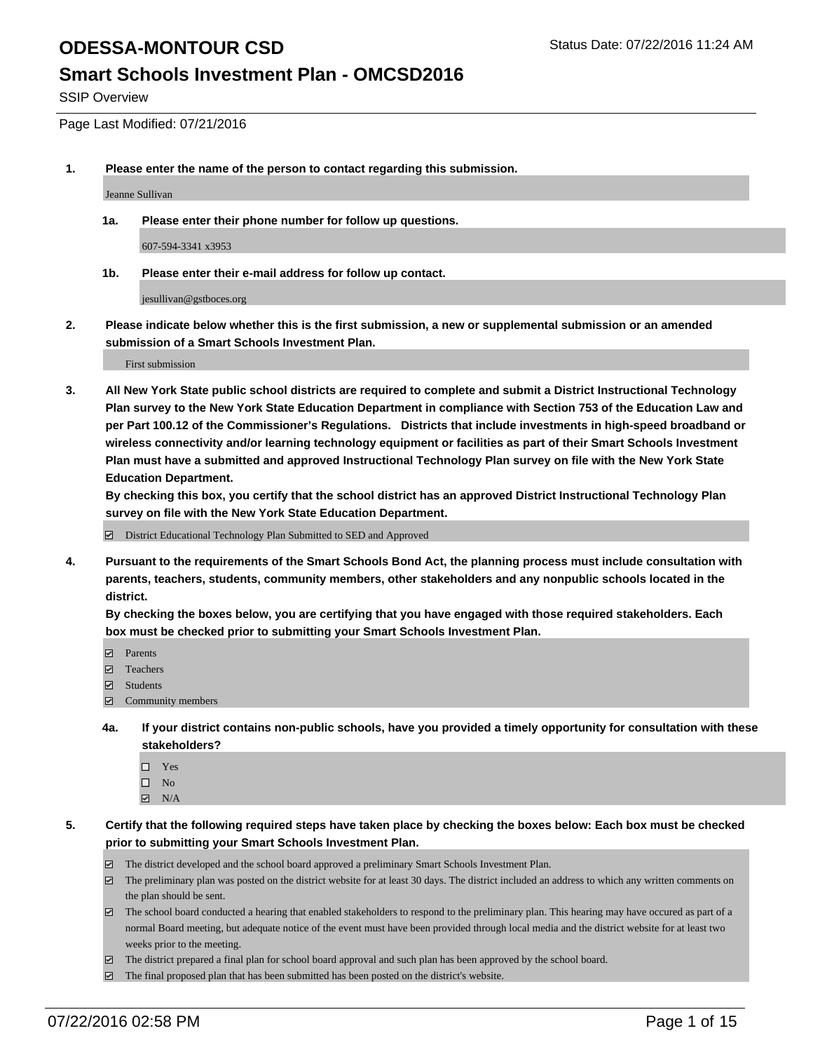#### **Smart Schools Investment Plan - OMCSD2016**

SSIP Overview

Page Last Modified: 07/21/2016

**1. Please enter the name of the person to contact regarding this submission.**

Jeanne Sullivan

**1a. Please enter their phone number for follow up questions.**

607-594-3341 x3953

**1b. Please enter their e-mail address for follow up contact.**

jesullivan@gstboces.org

**2. Please indicate below whether this is the first submission, a new or supplemental submission or an amended submission of a Smart Schools Investment Plan.**

First submission

**3. All New York State public school districts are required to complete and submit a District Instructional Technology Plan survey to the New York State Education Department in compliance with Section 753 of the Education Law and per Part 100.12 of the Commissioner's Regulations. Districts that include investments in high-speed broadband or wireless connectivity and/or learning technology equipment or facilities as part of their Smart Schools Investment Plan must have a submitted and approved Instructional Technology Plan survey on file with the New York State Education Department.** 

**By checking this box, you certify that the school district has an approved District Instructional Technology Plan survey on file with the New York State Education Department.**

District Educational Technology Plan Submitted to SED and Approved

**4. Pursuant to the requirements of the Smart Schools Bond Act, the planning process must include consultation with parents, teachers, students, community members, other stakeholders and any nonpublic schools located in the district.** 

**By checking the boxes below, you are certifying that you have engaged with those required stakeholders. Each box must be checked prior to submitting your Smart Schools Investment Plan.**

- **Parents**
- Teachers
- $\blacksquare$  Students
- Community members
- **4a. If your district contains non-public schools, have you provided a timely opportunity for consultation with these stakeholders?**
	- $\Box$  Yes  $\square$  No
	- $\boxtimes$  N/A
- **5. Certify that the following required steps have taken place by checking the boxes below: Each box must be checked prior to submitting your Smart Schools Investment Plan.**
	- The district developed and the school board approved a preliminary Smart Schools Investment Plan.
	- $\boxdot$  The preliminary plan was posted on the district website for at least 30 days. The district included an address to which any written comments on the plan should be sent.
	- $\Box$  The school board conducted a hearing that enabled stakeholders to respond to the preliminary plan. This hearing may have occured as part of a normal Board meeting, but adequate notice of the event must have been provided through local media and the district website for at least two weeks prior to the meeting.
	- The district prepared a final plan for school board approval and such plan has been approved by the school board.
	- $\boxdot$  The final proposed plan that has been submitted has been posted on the district's website.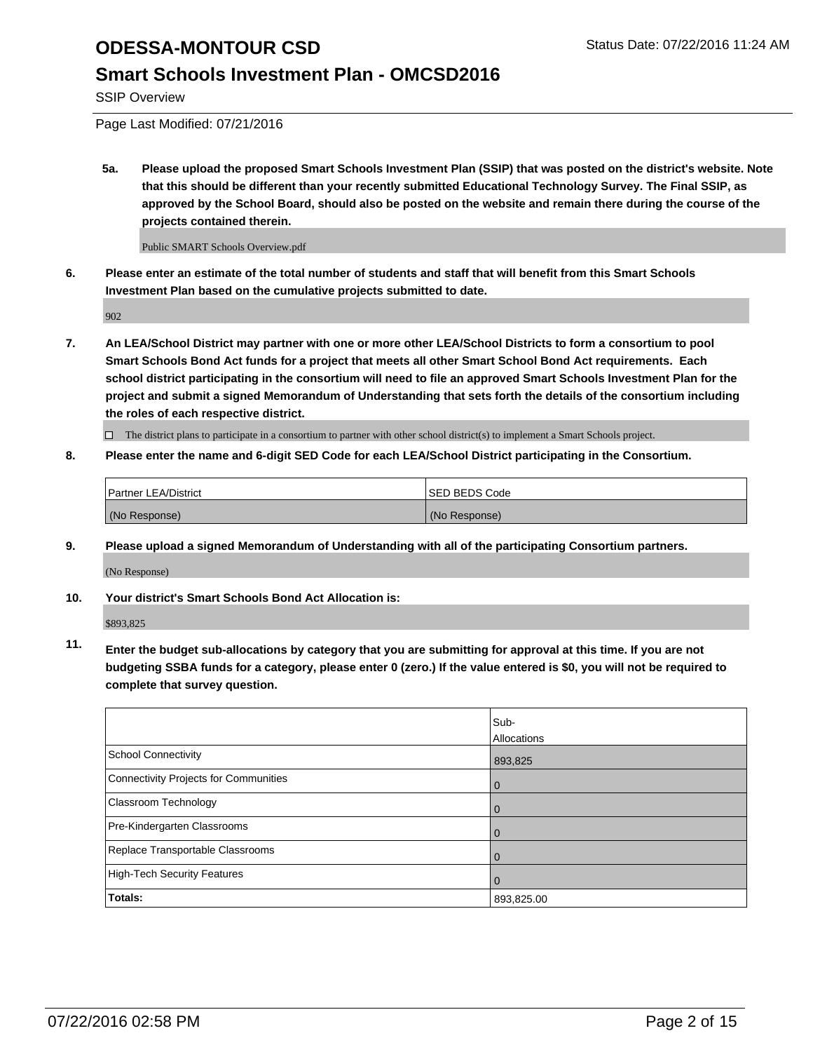## **Smart Schools Investment Plan - OMCSD2016**

SSIP Overview

Page Last Modified: 07/21/2016

**5a. Please upload the proposed Smart Schools Investment Plan (SSIP) that was posted on the district's website. Note that this should be different than your recently submitted Educational Technology Survey. The Final SSIP, as approved by the School Board, should also be posted on the website and remain there during the course of the projects contained therein.**

Public SMART Schools Overview.pdf

**6. Please enter an estimate of the total number of students and staff that will benefit from this Smart Schools Investment Plan based on the cumulative projects submitted to date.**

902

**7. An LEA/School District may partner with one or more other LEA/School Districts to form a consortium to pool Smart Schools Bond Act funds for a project that meets all other Smart School Bond Act requirements. Each school district participating in the consortium will need to file an approved Smart Schools Investment Plan for the project and submit a signed Memorandum of Understanding that sets forth the details of the consortium including the roles of each respective district.**

 $\Box$  The district plans to participate in a consortium to partner with other school district(s) to implement a Smart Schools project.

#### **8. Please enter the name and 6-digit SED Code for each LEA/School District participating in the Consortium.**

| <b>Partner LEA/District</b> | <b>ISED BEDS Code</b> |
|-----------------------------|-----------------------|
| (No Response)               | (No Response)         |

**9. Please upload a signed Memorandum of Understanding with all of the participating Consortium partners.**

(No Response)

**10. Your district's Smart Schools Bond Act Allocation is:**

\$893,825

**11. Enter the budget sub-allocations by category that you are submitting for approval at this time. If you are not budgeting SSBA funds for a category, please enter 0 (zero.) If the value entered is \$0, you will not be required to complete that survey question.**

|                                       | Sub-        |
|---------------------------------------|-------------|
|                                       | Allocations |
| <b>School Connectivity</b>            | 893,825     |
| Connectivity Projects for Communities | $\Omega$    |
| Classroom Technology                  | 0           |
| Pre-Kindergarten Classrooms           | $\Omega$    |
| Replace Transportable Classrooms      | $\Omega$    |
| High-Tech Security Features           | $\Omega$    |
| <b>Totals:</b>                        | 893,825.00  |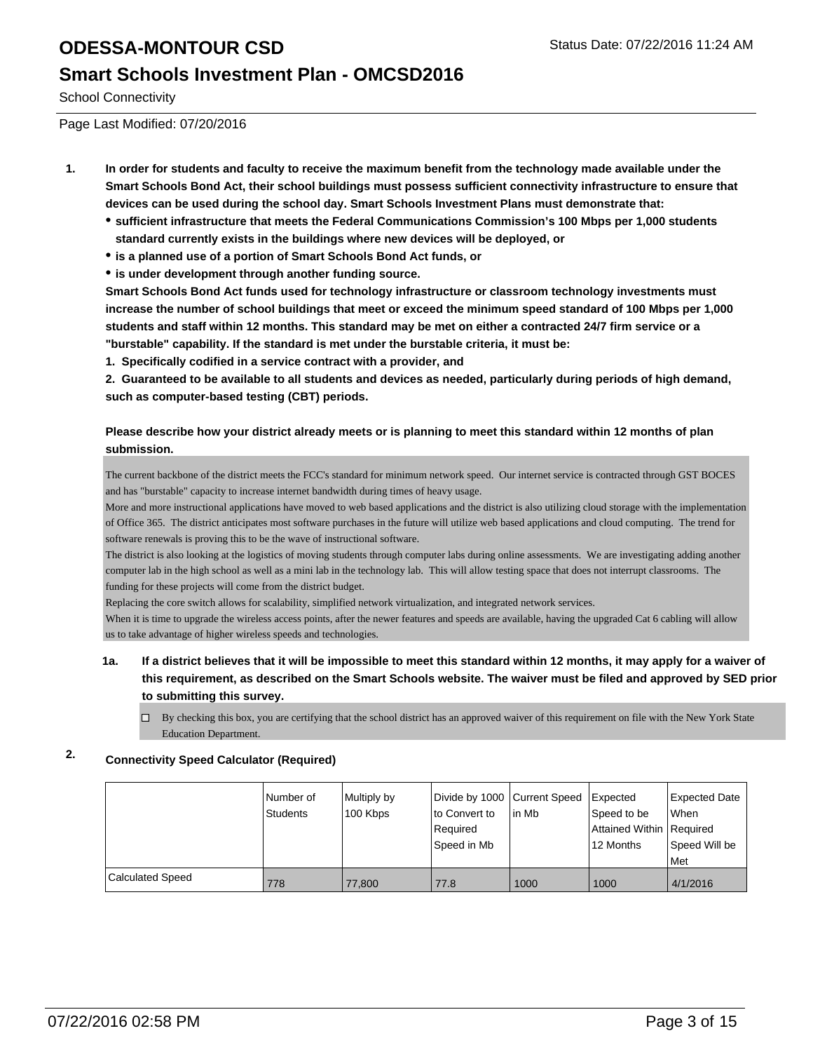### **Smart Schools Investment Plan - OMCSD2016**

School Connectivity

Page Last Modified: 07/20/2016

- **1. In order for students and faculty to receive the maximum benefit from the technology made available under the Smart Schools Bond Act, their school buildings must possess sufficient connectivity infrastructure to ensure that devices can be used during the school day. Smart Schools Investment Plans must demonstrate that:**
	- **sufficient infrastructure that meets the Federal Communications Commission's 100 Mbps per 1,000 students standard currently exists in the buildings where new devices will be deployed, or**
	- **is a planned use of a portion of Smart Schools Bond Act funds, or**
	- **is under development through another funding source.**

**Smart Schools Bond Act funds used for technology infrastructure or classroom technology investments must increase the number of school buildings that meet or exceed the minimum speed standard of 100 Mbps per 1,000 students and staff within 12 months. This standard may be met on either a contracted 24/7 firm service or a "burstable" capability. If the standard is met under the burstable criteria, it must be:**

**1. Specifically codified in a service contract with a provider, and**

**2. Guaranteed to be available to all students and devices as needed, particularly during periods of high demand, such as computer-based testing (CBT) periods.**

#### **Please describe how your district already meets or is planning to meet this standard within 12 months of plan submission.**

The current backbone of the district meets the FCC's standard for minimum network speed. Our internet service is contracted through GST BOCES and has "burstable" capacity to increase internet bandwidth during times of heavy usage.

More and more instructional applications have moved to web based applications and the district is also utilizing cloud storage with the implementation of Office 365. The district anticipates most software purchases in the future will utilize web based applications and cloud computing. The trend for software renewals is proving this to be the wave of instructional software.

The district is also looking at the logistics of moving students through computer labs during online assessments. We are investigating adding another computer lab in the high school as well as a mini lab in the technology lab. This will allow testing space that does not interrupt classrooms. The funding for these projects will come from the district budget.

Replacing the core switch allows for scalability, simplified network virtualization, and integrated network services.

When it is time to upgrade the wireless access points, after the newer features and speeds are available, having the upgraded Cat 6 cabling will allow us to take advantage of higher wireless speeds and technologies.

#### **1a. If a district believes that it will be impossible to meet this standard within 12 months, it may apply for a waiver of this requirement, as described on the Smart Schools website. The waiver must be filed and approved by SED prior to submitting this survey.**

 $\Box$  By checking this box, you are certifying that the school district has an approved waiver of this requirement on file with the New York State Education Department.

#### **2. Connectivity Speed Calculator (Required)**

|                  | Number of | Multiply by | Divide by 1000 Current Speed |        | Expected                   | Expected Date |
|------------------|-----------|-------------|------------------------------|--------|----------------------------|---------------|
|                  | Students  | 100 Kbps    | to Convert to                | lin Mb | Speed to be                | <b>When</b>   |
|                  |           |             | l Reauired                   |        | Attained Within   Required |               |
|                  |           |             | Speed in Mb                  |        | 12 Months                  | Speed Will be |
|                  |           |             |                              |        |                            | <b>Met</b>    |
| Calculated Speed | 778       | 77,800      | 77.8                         | 1000   | 1000                       | 4/1/2016      |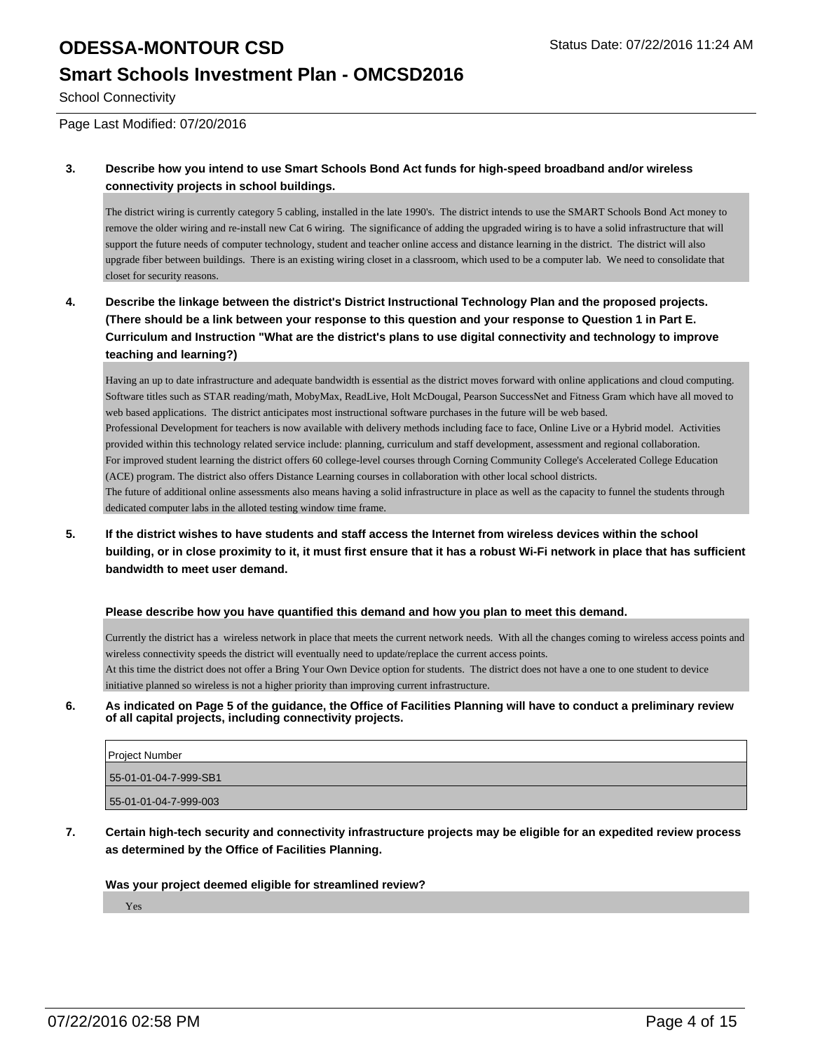### **Smart Schools Investment Plan - OMCSD2016**

School Connectivity

Page Last Modified: 07/20/2016

#### **3. Describe how you intend to use Smart Schools Bond Act funds for high-speed broadband and/or wireless connectivity projects in school buildings.**

The district wiring is currently category 5 cabling, installed in the late 1990's. The district intends to use the SMART Schools Bond Act money to remove the older wiring and re-install new Cat 6 wiring. The significance of adding the upgraded wiring is to have a solid infrastructure that will support the future needs of computer technology, student and teacher online access and distance learning in the district. The district will also upgrade fiber between buildings. There is an existing wiring closet in a classroom, which used to be a computer lab. We need to consolidate that closet for security reasons.

#### **4. Describe the linkage between the district's District Instructional Technology Plan and the proposed projects. (There should be a link between your response to this question and your response to Question 1 in Part E. Curriculum and Instruction "What are the district's plans to use digital connectivity and technology to improve teaching and learning?)**

Having an up to date infrastructure and adequate bandwidth is essential as the district moves forward with online applications and cloud computing. Software titles such as STAR reading/math, MobyMax, ReadLive, Holt McDougal, Pearson SuccessNet and Fitness Gram which have all moved to web based applications. The district anticipates most instructional software purchases in the future will be web based. Professional Development for teachers is now available with delivery methods including face to face, Online Live or a Hybrid model. Activities provided within this technology related service include: planning, curriculum and staff development, assessment and regional collaboration. For improved student learning the district offers 60 college-level courses through Corning Community College's Accelerated College Education (ACE) program. The district also offers Distance Learning courses in collaboration with other local school districts. The future of additional online assessments also means having a solid infrastructure in place as well as the capacity to funnel the students through dedicated computer labs in the alloted testing window time frame

**5. If the district wishes to have students and staff access the Internet from wireless devices within the school building, or in close proximity to it, it must first ensure that it has a robust Wi-Fi network in place that has sufficient bandwidth to meet user demand.**

#### **Please describe how you have quantified this demand and how you plan to meet this demand.**

Currently the district has a wireless network in place that meets the current network needs. With all the changes coming to wireless access points and wireless connectivity speeds the district will eventually need to update/replace the current access points. At this time the district does not offer a Bring Your Own Device option for students. The district does not have a one to one student to device initiative planned so wireless is not a higher priority than improving current infrastructure.

**6. As indicated on Page 5 of the guidance, the Office of Facilities Planning will have to conduct a preliminary review of all capital projects, including connectivity projects.**

| Project Number        |
|-----------------------|
| 55-01-01-04-7-999-SB1 |
| 55-01-01-04-7-999-003 |

**7. Certain high-tech security and connectivity infrastructure projects may be eligible for an expedited review process as determined by the Office of Facilities Planning.**

#### **Was your project deemed eligible for streamlined review?**

Yes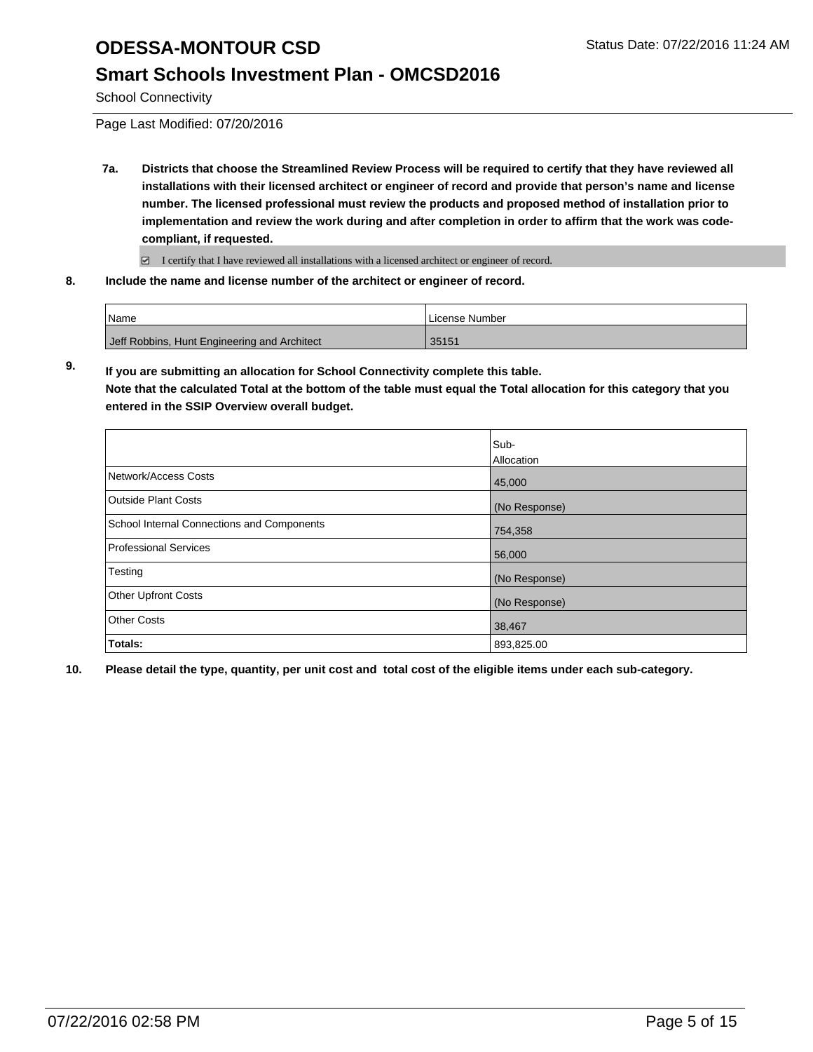## **Smart Schools Investment Plan - OMCSD2016**

School Connectivity

Page Last Modified: 07/20/2016

**7a. Districts that choose the Streamlined Review Process will be required to certify that they have reviewed all installations with their licensed architect or engineer of record and provide that person's name and license number. The licensed professional must review the products and proposed method of installation prior to implementation and review the work during and after completion in order to affirm that the work was codecompliant, if requested.**

■ I certify that I have reviewed all installations with a licensed architect or engineer of record.

**8. Include the name and license number of the architect or engineer of record.**

| l Name                                       | License Number |
|----------------------------------------------|----------------|
| Jeff Robbins, Hunt Engineering and Architect | 35151          |

**9. If you are submitting an allocation for School Connectivity complete this table.**

**Note that the calculated Total at the bottom of the table must equal the Total allocation for this category that you entered in the SSIP Overview overall budget.** 

|                                            | Sub-<br>Allocation |
|--------------------------------------------|--------------------|
| Network/Access Costs                       | 45,000             |
| <b>Outside Plant Costs</b>                 | (No Response)      |
| School Internal Connections and Components | 754,358            |
| Professional Services                      | 56,000             |
| Testing                                    | (No Response)      |
| <b>Other Upfront Costs</b>                 | (No Response)      |
| Other Costs                                | 38,467             |
| Totals:                                    | 893,825.00         |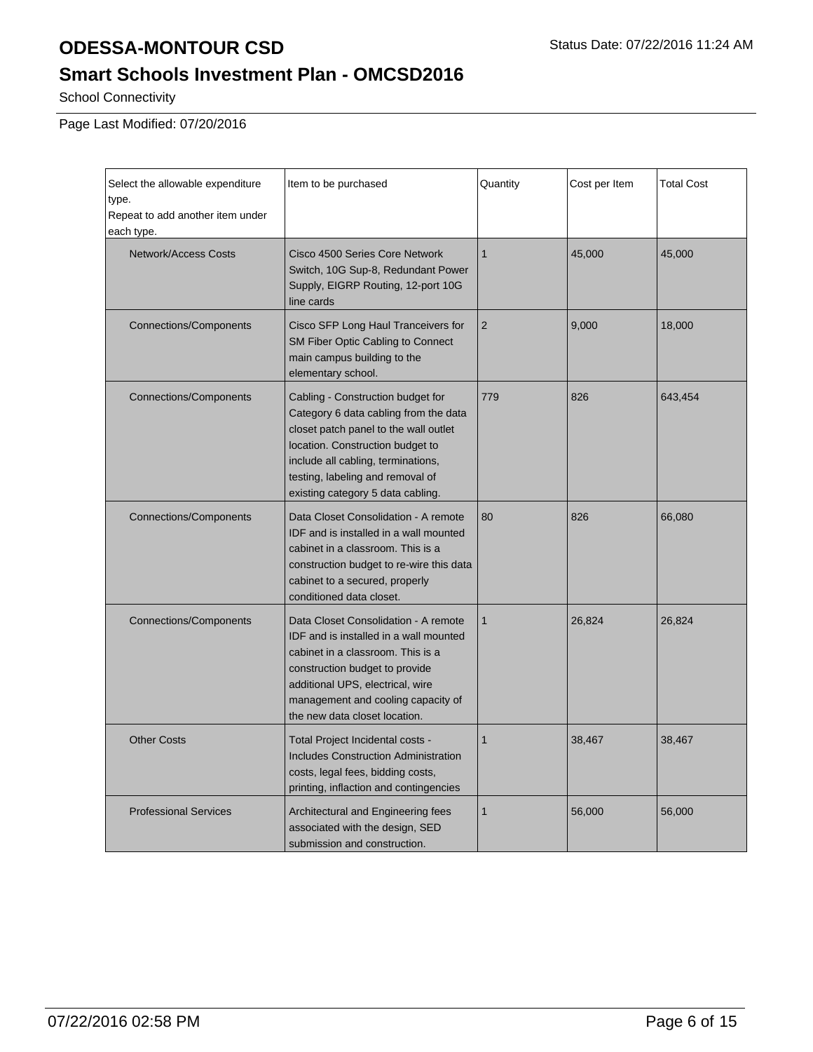## **Smart Schools Investment Plan - OMCSD2016**

School Connectivity

Page Last Modified: 07/20/2016

| Select the allowable expenditure<br>type.<br>Repeat to add another item under<br>each type. | Item to be purchased                                                                                                                                                                                                                                                   | Quantity       | Cost per Item | <b>Total Cost</b> |
|---------------------------------------------------------------------------------------------|------------------------------------------------------------------------------------------------------------------------------------------------------------------------------------------------------------------------------------------------------------------------|----------------|---------------|-------------------|
| <b>Network/Access Costs</b>                                                                 | Cisco 4500 Series Core Network<br>Switch, 10G Sup-8, Redundant Power<br>Supply, EIGRP Routing, 12-port 10G<br>line cards                                                                                                                                               | $\mathbf{1}$   | 45,000        | 45,000            |
| <b>Connections/Components</b>                                                               | Cisco SFP Long Haul Tranceivers for<br>SM Fiber Optic Cabling to Connect<br>main campus building to the<br>elementary school.                                                                                                                                          | $\overline{2}$ | 9,000         | 18,000            |
| <b>Connections/Components</b>                                                               | Cabling - Construction budget for<br>Category 6 data cabling from the data<br>closet patch panel to the wall outlet<br>location. Construction budget to<br>include all cabling, terminations,<br>testing, labeling and removal of<br>existing category 5 data cabling. | 779            | 826           | 643,454           |
| <b>Connections/Components</b>                                                               | Data Closet Consolidation - A remote<br>IDF and is installed in a wall mounted<br>cabinet in a classroom. This is a<br>construction budget to re-wire this data<br>cabinet to a secured, properly<br>conditioned data closet.                                          | 80             | 826           | 66,080            |
| <b>Connections/Components</b>                                                               | Data Closet Consolidation - A remote<br>IDF and is installed in a wall mounted<br>cabinet in a classroom. This is a<br>construction budget to provide<br>additional UPS, electrical, wire<br>management and cooling capacity of<br>the new data closet location.       | $\mathbf{1}$   | 26,824        | 26,824            |
| <b>Other Costs</b>                                                                          | Total Project Incidental costs -<br><b>Includes Construction Administration</b><br>costs, legal fees, bidding costs,<br>printing, inflaction and contingencies                                                                                                         | $\mathbf{1}$   | 38,467        | 38,467            |
| <b>Professional Services</b>                                                                | Architectural and Engineering fees<br>associated with the design, SED<br>submission and construction.                                                                                                                                                                  | $\mathbf{1}$   | 56,000        | 56,000            |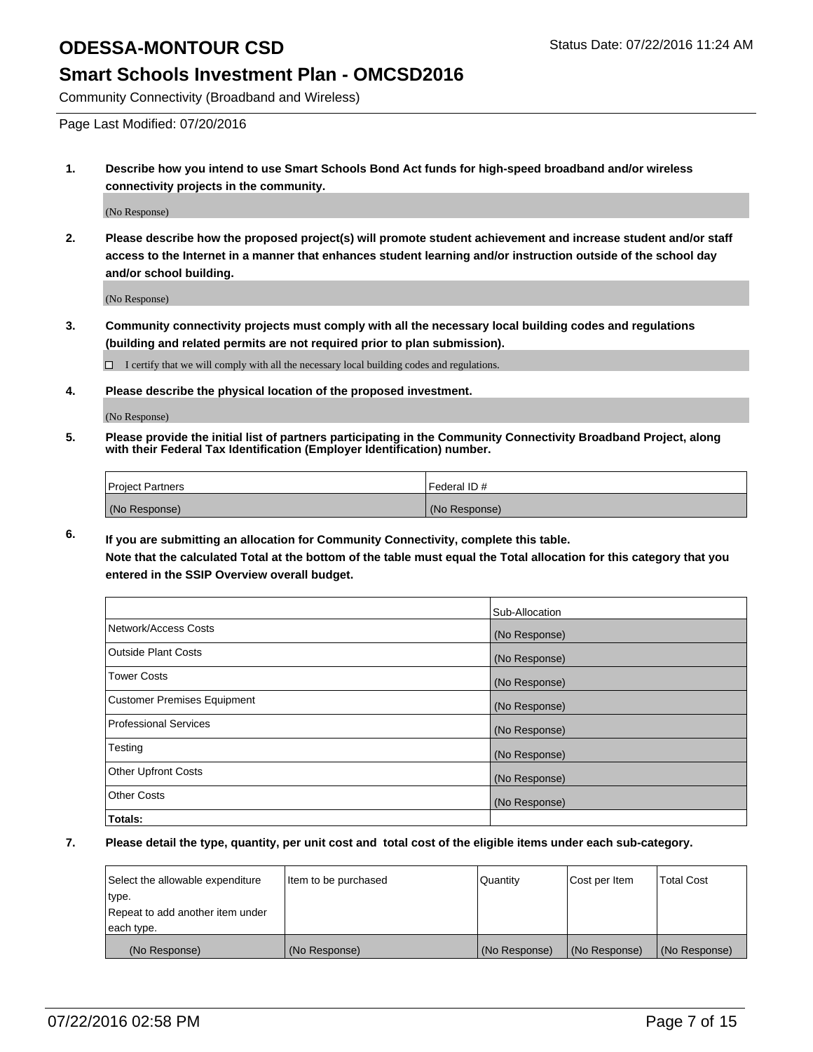### **Smart Schools Investment Plan - OMCSD2016**

Community Connectivity (Broadband and Wireless)

Page Last Modified: 07/20/2016

**1. Describe how you intend to use Smart Schools Bond Act funds for high-speed broadband and/or wireless connectivity projects in the community.**

(No Response)

**2. Please describe how the proposed project(s) will promote student achievement and increase student and/or staff access to the Internet in a manner that enhances student learning and/or instruction outside of the school day and/or school building.**

(No Response)

**3. Community connectivity projects must comply with all the necessary local building codes and regulations (building and related permits are not required prior to plan submission).**

 $\Box$  I certify that we will comply with all the necessary local building codes and regulations.

**4. Please describe the physical location of the proposed investment.**

(No Response)

**5. Please provide the initial list of partners participating in the Community Connectivity Broadband Project, along with their Federal Tax Identification (Employer Identification) number.**

| Project Partners | <b>IFederal ID#</b> |
|------------------|---------------------|
| (No Response)    | (No Response)       |

**6. If you are submitting an allocation for Community Connectivity, complete this table. Note that the calculated Total at the bottom of the table must equal the Total allocation for this category that you**

**entered in the SSIP Overview overall budget.**

|                             | Sub-Allocation |
|-----------------------------|----------------|
| Network/Access Costs        | (No Response)  |
| Outside Plant Costs         | (No Response)  |
| <b>Tower Costs</b>          | (No Response)  |
| Customer Premises Equipment | (No Response)  |
| Professional Services       | (No Response)  |
| Testing                     | (No Response)  |
| Other Upfront Costs         | (No Response)  |
| Other Costs                 | (No Response)  |
| Totals:                     |                |

| Select the allowable expenditure | Item to be purchased | Quantity      | Cost per Item | <b>Total Cost</b> |
|----------------------------------|----------------------|---------------|---------------|-------------------|
| type.                            |                      |               |               |                   |
| Repeat to add another item under |                      |               |               |                   |
| each type.                       |                      |               |               |                   |
| (No Response)                    | (No Response)        | (No Response) | (No Response) | (No Response)     |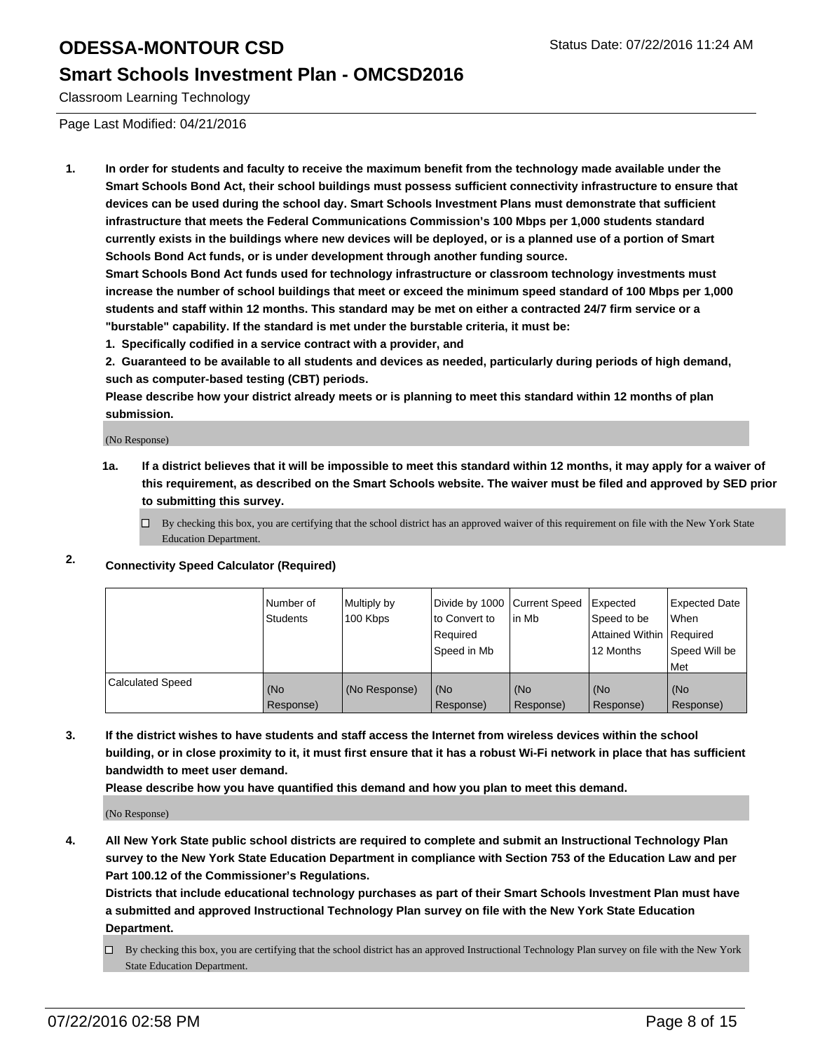## **Smart Schools Investment Plan - OMCSD2016**

Classroom Learning Technology

Page Last Modified: 04/21/2016

**1. In order for students and faculty to receive the maximum benefit from the technology made available under the Smart Schools Bond Act, their school buildings must possess sufficient connectivity infrastructure to ensure that devices can be used during the school day. Smart Schools Investment Plans must demonstrate that sufficient infrastructure that meets the Federal Communications Commission's 100 Mbps per 1,000 students standard currently exists in the buildings where new devices will be deployed, or is a planned use of a portion of Smart Schools Bond Act funds, or is under development through another funding source.**

**Smart Schools Bond Act funds used for technology infrastructure or classroom technology investments must increase the number of school buildings that meet or exceed the minimum speed standard of 100 Mbps per 1,000 students and staff within 12 months. This standard may be met on either a contracted 24/7 firm service or a "burstable" capability. If the standard is met under the burstable criteria, it must be:**

**1. Specifically codified in a service contract with a provider, and**

**2. Guaranteed to be available to all students and devices as needed, particularly during periods of high demand, such as computer-based testing (CBT) periods.**

**Please describe how your district already meets or is planning to meet this standard within 12 months of plan submission.**

(No Response)

- **1a. If a district believes that it will be impossible to meet this standard within 12 months, it may apply for a waiver of this requirement, as described on the Smart Schools website. The waiver must be filed and approved by SED prior to submitting this survey.**
	- $\Box$  By checking this box, you are certifying that the school district has an approved waiver of this requirement on file with the New York State Education Department.
- **2. Connectivity Speed Calculator (Required)**

|                         | INumber of<br>Students | Multiply by<br>100 Kbps | Ito Convert to<br>Reauired<br>Speed in Mb | Divide by 1000 Current Speed Expected<br>lin Mb | Speed to be<br>Attained Within   Required<br>12 Months | <b>Expected Date</b><br>l When<br>Speed Will be<br>Met |
|-------------------------|------------------------|-------------------------|-------------------------------------------|-------------------------------------------------|--------------------------------------------------------|--------------------------------------------------------|
| <b>Calculated Speed</b> | (No<br>Response)       | (No Response)           | (No<br>Response)                          | (No<br>Response)                                | l (No<br>Response)                                     | (No<br>Response)                                       |

**3. If the district wishes to have students and staff access the Internet from wireless devices within the school building, or in close proximity to it, it must first ensure that it has a robust Wi-Fi network in place that has sufficient bandwidth to meet user demand.**

**Please describe how you have quantified this demand and how you plan to meet this demand.**

(No Response)

**4. All New York State public school districts are required to complete and submit an Instructional Technology Plan survey to the New York State Education Department in compliance with Section 753 of the Education Law and per Part 100.12 of the Commissioner's Regulations.**

**Districts that include educational technology purchases as part of their Smart Schools Investment Plan must have a submitted and approved Instructional Technology Plan survey on file with the New York State Education Department.**

By checking this box, you are certifying that the school district has an approved Instructional Technology Plan survey on file with the New York State Education Department.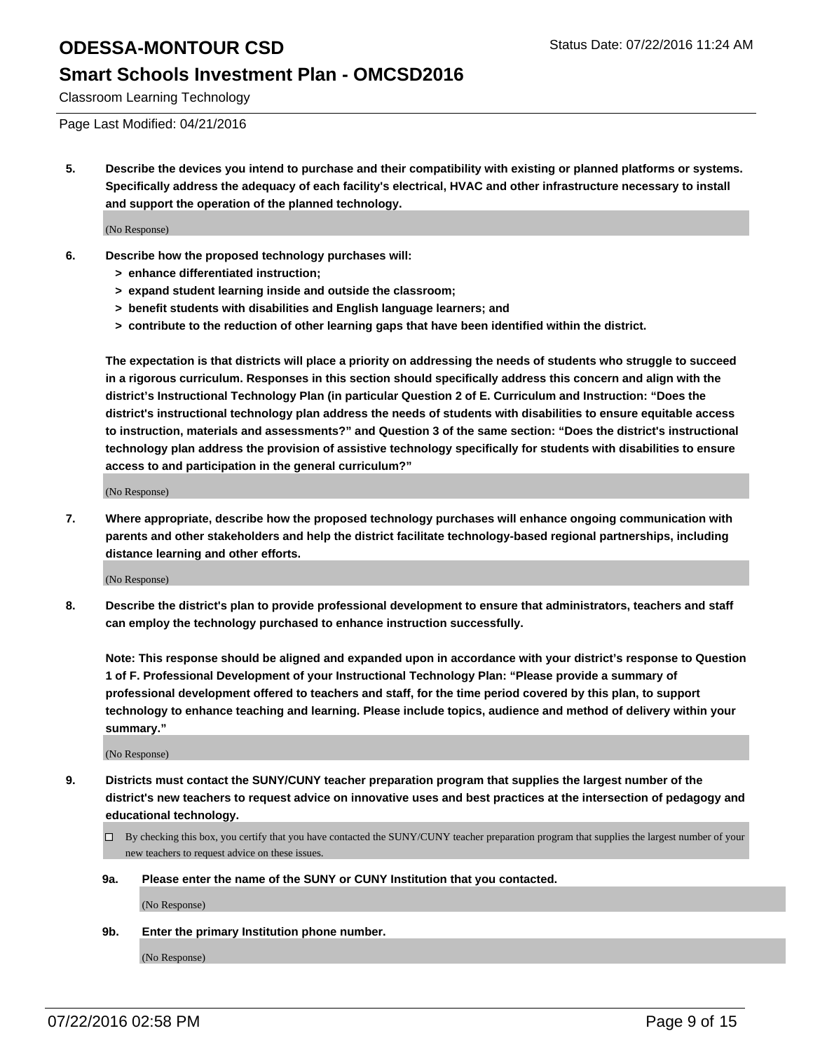### **Smart Schools Investment Plan - OMCSD2016**

Classroom Learning Technology

Page Last Modified: 04/21/2016

**5. Describe the devices you intend to purchase and their compatibility with existing or planned platforms or systems. Specifically address the adequacy of each facility's electrical, HVAC and other infrastructure necessary to install and support the operation of the planned technology.**

(No Response)

- **6. Describe how the proposed technology purchases will:**
	- **> enhance differentiated instruction;**
	- **> expand student learning inside and outside the classroom;**
	- **> benefit students with disabilities and English language learners; and**
	- **> contribute to the reduction of other learning gaps that have been identified within the district.**

**The expectation is that districts will place a priority on addressing the needs of students who struggle to succeed in a rigorous curriculum. Responses in this section should specifically address this concern and align with the district's Instructional Technology Plan (in particular Question 2 of E. Curriculum and Instruction: "Does the district's instructional technology plan address the needs of students with disabilities to ensure equitable access to instruction, materials and assessments?" and Question 3 of the same section: "Does the district's instructional technology plan address the provision of assistive technology specifically for students with disabilities to ensure access to and participation in the general curriculum?"**

(No Response)

**7. Where appropriate, describe how the proposed technology purchases will enhance ongoing communication with parents and other stakeholders and help the district facilitate technology-based regional partnerships, including distance learning and other efforts.**

(No Response)

**8. Describe the district's plan to provide professional development to ensure that administrators, teachers and staff can employ the technology purchased to enhance instruction successfully.**

**Note: This response should be aligned and expanded upon in accordance with your district's response to Question 1 of F. Professional Development of your Instructional Technology Plan: "Please provide a summary of professional development offered to teachers and staff, for the time period covered by this plan, to support technology to enhance teaching and learning. Please include topics, audience and method of delivery within your summary."**

(No Response)

- **9. Districts must contact the SUNY/CUNY teacher preparation program that supplies the largest number of the district's new teachers to request advice on innovative uses and best practices at the intersection of pedagogy and educational technology.**
	- $\square$  By checking this box, you certify that you have contacted the SUNY/CUNY teacher preparation program that supplies the largest number of your new teachers to request advice on these issues.
	- **9a. Please enter the name of the SUNY or CUNY Institution that you contacted.**

(No Response)

**9b. Enter the primary Institution phone number.**

(No Response)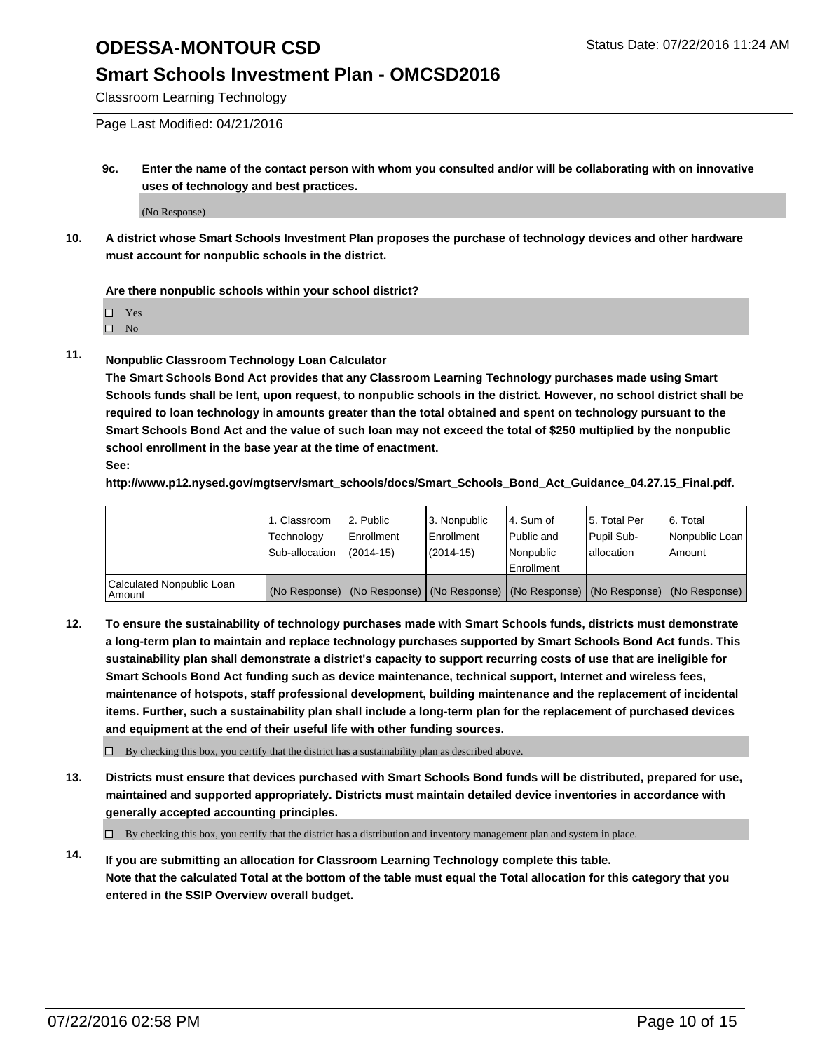### **Smart Schools Investment Plan - OMCSD2016**

Classroom Learning Technology

Page Last Modified: 04/21/2016

**9c. Enter the name of the contact person with whom you consulted and/or will be collaborating with on innovative uses of technology and best practices.**

(No Response)

**10. A district whose Smart Schools Investment Plan proposes the purchase of technology devices and other hardware must account for nonpublic schools in the district.**

#### **Are there nonpublic schools within your school district?**

□ Yes

 $\hfill \square$  No

**11. Nonpublic Classroom Technology Loan Calculator**

**The Smart Schools Bond Act provides that any Classroom Learning Technology purchases made using Smart Schools funds shall be lent, upon request, to nonpublic schools in the district. However, no school district shall be required to loan technology in amounts greater than the total obtained and spent on technology pursuant to the Smart Schools Bond Act and the value of such loan may not exceed the total of \$250 multiplied by the nonpublic school enrollment in the base year at the time of enactment. See:**

**http://www.p12.nysed.gov/mgtserv/smart\_schools/docs/Smart\_Schools\_Bond\_Act\_Guidance\_04.27.15\_Final.pdf.**

|                                         | 1. Classroom<br>Technology | 2. Public<br><b>Enrollment</b> | 3. Nonpublic<br>Enrollment                                                                    | l 4. Sum of<br>l Public and | 5. Total Per<br>Pupil Sub- | 6. Total<br>Nonpublic Loan |
|-----------------------------------------|----------------------------|--------------------------------|-----------------------------------------------------------------------------------------------|-----------------------------|----------------------------|----------------------------|
|                                         | Sub-allocation             | $(2014 - 15)$                  | $(2014 - 15)$                                                                                 | Nonpublic<br>Enrollment     | lallocation                | Amount                     |
| Calculated Nonpublic Loan<br>l Amount i |                            |                                | (No Response)   (No Response)   (No Response)   (No Response)   (No Response)   (No Response) |                             |                            |                            |

**12. To ensure the sustainability of technology purchases made with Smart Schools funds, districts must demonstrate a long-term plan to maintain and replace technology purchases supported by Smart Schools Bond Act funds. This sustainability plan shall demonstrate a district's capacity to support recurring costs of use that are ineligible for Smart Schools Bond Act funding such as device maintenance, technical support, Internet and wireless fees, maintenance of hotspots, staff professional development, building maintenance and the replacement of incidental items. Further, such a sustainability plan shall include a long-term plan for the replacement of purchased devices and equipment at the end of their useful life with other funding sources.**

 $\square$  By checking this box, you certify that the district has a sustainability plan as described above.

**13. Districts must ensure that devices purchased with Smart Schools Bond funds will be distributed, prepared for use, maintained and supported appropriately. Districts must maintain detailed device inventories in accordance with generally accepted accounting principles.**

 $\Box$  By checking this box, you certify that the district has a distribution and inventory management plan and system in place.

**14. If you are submitting an allocation for Classroom Learning Technology complete this table. Note that the calculated Total at the bottom of the table must equal the Total allocation for this category that you entered in the SSIP Overview overall budget.**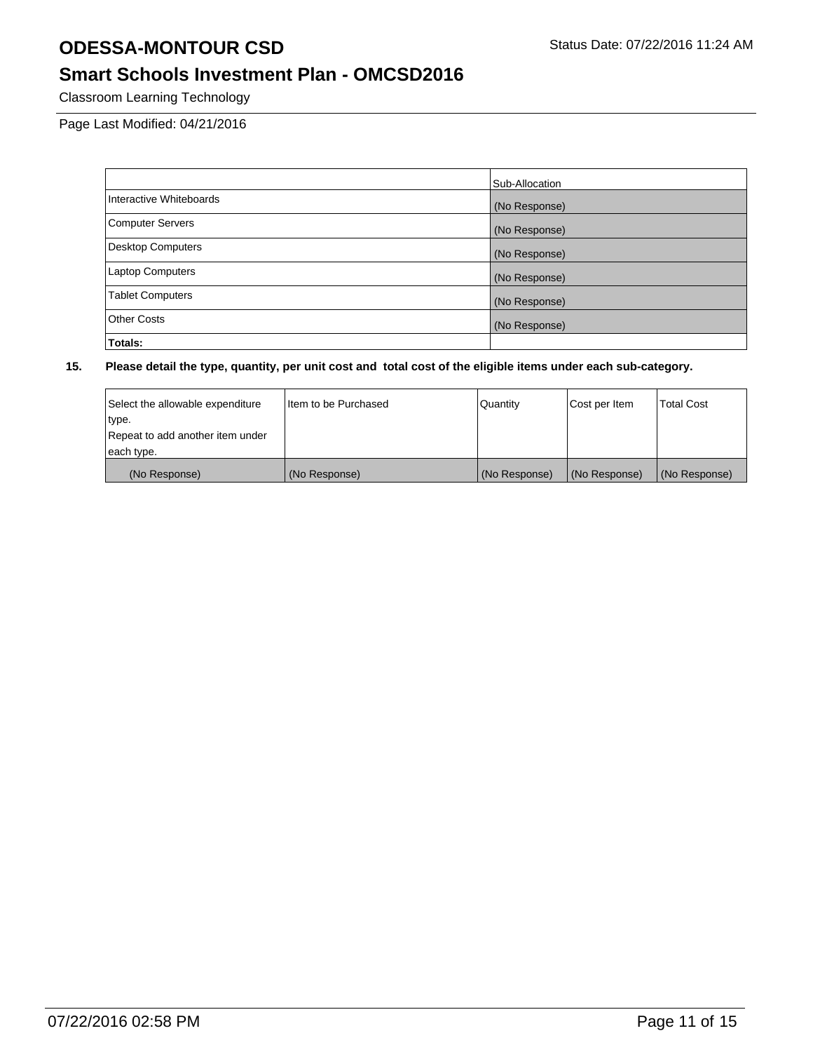## **Smart Schools Investment Plan - OMCSD2016**

Classroom Learning Technology

Page Last Modified: 04/21/2016

|                          | Sub-Allocation |
|--------------------------|----------------|
| Interactive Whiteboards  | (No Response)  |
| Computer Servers         | (No Response)  |
| <b>Desktop Computers</b> | (No Response)  |
| <b>Laptop Computers</b>  | (No Response)  |
| <b>Tablet Computers</b>  | (No Response)  |
| Other Costs              | (No Response)  |
| Totals:                  |                |

| Select the allowable expenditure | I Item to be Purchased | Quantity      | Cost per Item | <b>Total Cost</b> |
|----------------------------------|------------------------|---------------|---------------|-------------------|
| type.                            |                        |               |               |                   |
| Repeat to add another item under |                        |               |               |                   |
| each type.                       |                        |               |               |                   |
| (No Response)                    | (No Response)          | (No Response) | (No Response) | (No Response)     |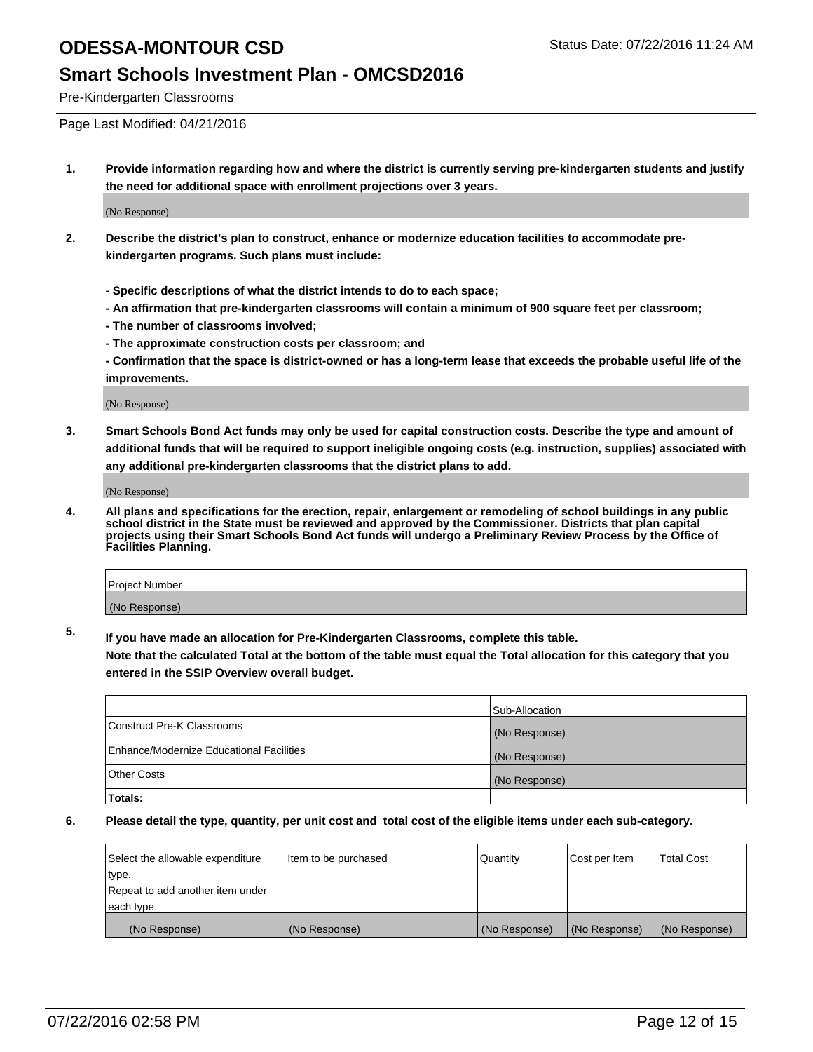#### **Smart Schools Investment Plan - OMCSD2016**

Pre-Kindergarten Classrooms

Page Last Modified: 04/21/2016

**1. Provide information regarding how and where the district is currently serving pre-kindergarten students and justify the need for additional space with enrollment projections over 3 years.**

(No Response)

- **2. Describe the district's plan to construct, enhance or modernize education facilities to accommodate prekindergarten programs. Such plans must include:**
	- **Specific descriptions of what the district intends to do to each space;**
	- **An affirmation that pre-kindergarten classrooms will contain a minimum of 900 square feet per classroom;**
	- **The number of classrooms involved;**
	- **The approximate construction costs per classroom; and**
	- **Confirmation that the space is district-owned or has a long-term lease that exceeds the probable useful life of the improvements.**

(No Response)

**3. Smart Schools Bond Act funds may only be used for capital construction costs. Describe the type and amount of additional funds that will be required to support ineligible ongoing costs (e.g. instruction, supplies) associated with any additional pre-kindergarten classrooms that the district plans to add.**

(No Response)

**4. All plans and specifications for the erection, repair, enlargement or remodeling of school buildings in any public school district in the State must be reviewed and approved by the Commissioner. Districts that plan capital projects using their Smart Schools Bond Act funds will undergo a Preliminary Review Process by the Office of Facilities Planning.**

| Project Number |  |
|----------------|--|
| (No Response)  |  |

**5. If you have made an allocation for Pre-Kindergarten Classrooms, complete this table.**

**Note that the calculated Total at the bottom of the table must equal the Total allocation for this category that you entered in the SSIP Overview overall budget.**

|                                          | Sub-Allocation |
|------------------------------------------|----------------|
| Construct Pre-K Classrooms               | (No Response)  |
| Enhance/Modernize Educational Facilities | (No Response)  |
| <b>Other Costs</b>                       | (No Response)  |
| Totals:                                  |                |

| Select the allowable expenditure | ltem to be purchased | Quantity      | Cost per Item | <b>Total Cost</b> |
|----------------------------------|----------------------|---------------|---------------|-------------------|
| type.                            |                      |               |               |                   |
| Repeat to add another item under |                      |               |               |                   |
| each type.                       |                      |               |               |                   |
| (No Response)                    | (No Response)        | (No Response) | (No Response) | (No Response)     |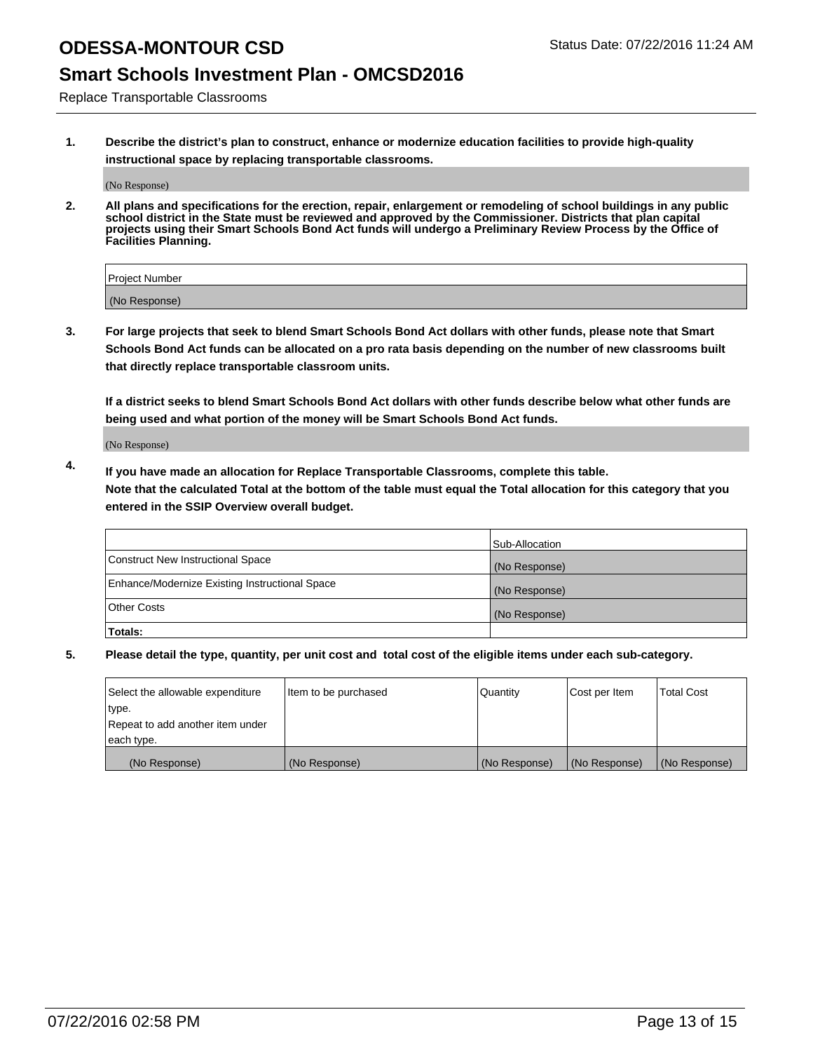## **Smart Schools Investment Plan - OMCSD2016**

Replace Transportable Classrooms

**1. Describe the district's plan to construct, enhance or modernize education facilities to provide high-quality instructional space by replacing transportable classrooms.**

(No Response)

**2. All plans and specifications for the erection, repair, enlargement or remodeling of school buildings in any public school district in the State must be reviewed and approved by the Commissioner. Districts that plan capital projects using their Smart Schools Bond Act funds will undergo a Preliminary Review Process by the Office of Facilities Planning.**

| Project Number |  |
|----------------|--|
| (No Response)  |  |

**3. For large projects that seek to blend Smart Schools Bond Act dollars with other funds, please note that Smart Schools Bond Act funds can be allocated on a pro rata basis depending on the number of new classrooms built that directly replace transportable classroom units.**

**If a district seeks to blend Smart Schools Bond Act dollars with other funds describe below what other funds are being used and what portion of the money will be Smart Schools Bond Act funds.**

(No Response)

**4. If you have made an allocation for Replace Transportable Classrooms, complete this table. Note that the calculated Total at the bottom of the table must equal the Total allocation for this category that you entered in the SSIP Overview overall budget.**

|                                                | Sub-Allocation |
|------------------------------------------------|----------------|
| Construct New Instructional Space              | (No Response)  |
| Enhance/Modernize Existing Instructional Space | (No Response)  |
| Other Costs                                    | (No Response)  |
| Totals:                                        |                |

| Select the allowable expenditure | Item to be purchased | Quantity      | Cost per Item | <b>Total Cost</b> |
|----------------------------------|----------------------|---------------|---------------|-------------------|
| type.                            |                      |               |               |                   |
| Repeat to add another item under |                      |               |               |                   |
| each type.                       |                      |               |               |                   |
| (No Response)                    | (No Response)        | (No Response) | (No Response) | (No Response)     |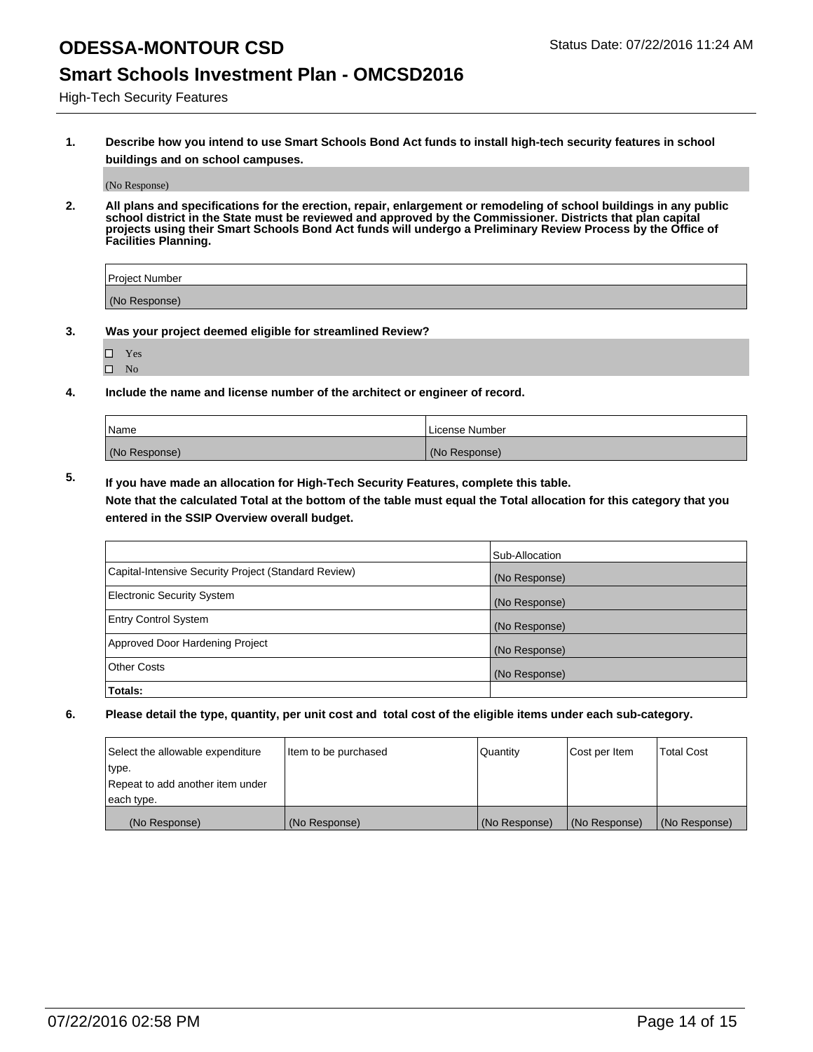### **Smart Schools Investment Plan - OMCSD2016**

High-Tech Security Features

**1. Describe how you intend to use Smart Schools Bond Act funds to install high-tech security features in school buildings and on school campuses.**

(No Response)

**2. All plans and specifications for the erection, repair, enlargement or remodeling of school buildings in any public school district in the State must be reviewed and approved by the Commissioner. Districts that plan capital projects using their Smart Schools Bond Act funds will undergo a Preliminary Review Process by the Office of Facilities Planning.** 

| Project Number |  |
|----------------|--|
| (No Response)  |  |

- **3. Was your project deemed eligible for streamlined Review?**
	- Yes
	- $\square$  No
- **4. Include the name and license number of the architect or engineer of record.**

| Name          | License Number |
|---------------|----------------|
| (No Response) | (No Response)  |

**5. If you have made an allocation for High-Tech Security Features, complete this table.**

**Note that the calculated Total at the bottom of the table must equal the Total allocation for this category that you entered in the SSIP Overview overall budget.**

|                                                      | Sub-Allocation |
|------------------------------------------------------|----------------|
| Capital-Intensive Security Project (Standard Review) | (No Response)  |
| <b>Electronic Security System</b>                    | (No Response)  |
| <b>Entry Control System</b>                          | (No Response)  |
| Approved Door Hardening Project                      | (No Response)  |
| <b>Other Costs</b>                                   | (No Response)  |
| Totals:                                              |                |

| Select the allowable expenditure | Item to be purchased | <b>Quantity</b> | Cost per Item | <b>Total Cost</b> |
|----------------------------------|----------------------|-----------------|---------------|-------------------|
| type.                            |                      |                 |               |                   |
| Repeat to add another item under |                      |                 |               |                   |
| each type.                       |                      |                 |               |                   |
| (No Response)                    | (No Response)        | (No Response)   | (No Response) | (No Response)     |